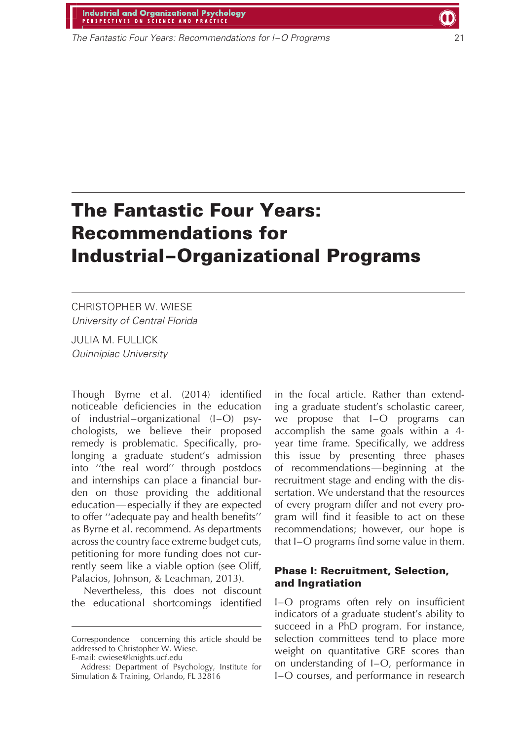# Industrial and Organizational Psychology

The Fantastic Four Years: Recommendations for I-O Programs

# **The Fantastic Four Years: Recommendations for Industrial–Organizational Programs**

# CHRISTOPHER W. WIESE University of Central Florida

JULIA M. FULLICK Quinnipiac University

Though Byrne et al. (2014) identified noticeable deficiencies in the education of industrial–organizational (I–O) psychologists, we believe their proposed remedy is problematic. Specifically, prolonging a graduate student's admission into ''the real word'' through postdocs and internships can place a financial burden on those providing the additional education—especially if they are expected to offer ''adequate pay and health benefits'' as Byrne et al. recommend. As departments across the country face extreme budget cuts, petitioning for more funding does not currently seem like a viable option (see Oliff, Palacios, Johnson, & Leachman, 2013).

Nevertheless, this does not discount the educational shortcomings identified in the focal article. Rather than extending a graduate student's scholastic career, we propose that I–O programs can accomplish the same goals within a 4 year time frame. Specifically, we address this issue by presenting three phases of recommendations—beginning at the recruitment stage and ending with the dissertation. We understand that the resources of every program differ and not every program will find it feasible to act on these recommendations; however, our hope is that I–O programs find some value in them.

#### **Phase I: Recruitment, Selection, and Ingratiation**

I–O programs often rely on insufficient indicators of a graduate student's ability to succeed in a PhD program. For instance, selection committees tend to place more weight on quantitative GRE scores than on understanding of I–O, performance in I–O courses, and performance in research

Correspondence concerning this article should be addressed to Christopher W. Wiese.

E-mail: cwiese@knights.ucf.edu

Address: Department of Psychology, Institute for Simulation & Training, Orlando, FL 32816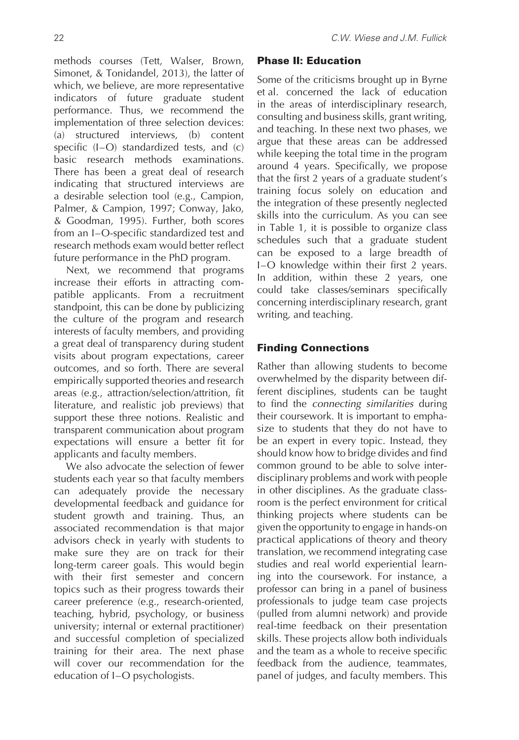methods courses (Tett, Walser, Brown, Simonet, & Tonidandel, 2013), the latter of which, we believe, are more representative indicators of future graduate student performance. Thus, we recommend the implementation of three selection devices: (a) structured interviews, (b) content specific (I–O) standardized tests, and (c) basic research methods examinations. There has been a great deal of research indicating that structured interviews are a desirable selection tool (e.g., Campion, Palmer, & Campion, 1997; Conway, Jako, & Goodman, 1995). Further, both scores from an I–O-specific standardized test and research methods exam would better reflect future performance in the PhD program.

Next, we recommend that programs increase their efforts in attracting compatible applicants. From a recruitment standpoint, this can be done by publicizing the culture of the program and research interests of faculty members, and providing a great deal of transparency during student visits about program expectations, career outcomes, and so forth. There are several empirically supported theories and research areas (e.g., attraction/selection/attrition, fit literature, and realistic job previews) that support these three notions. Realistic and transparent communication about program expectations will ensure a better fit for applicants and faculty members.

We also advocate the selection of fewer students each year so that faculty members can adequately provide the necessary developmental feedback and guidance for student growth and training. Thus, an associated recommendation is that major advisors check in yearly with students to make sure they are on track for their long-term career goals. This would begin with their first semester and concern topics such as their progress towards their career preference (e.g., research-oriented, teaching, hybrid, psychology, or business university; internal or external practitioner) and successful completion of specialized training for their area. The next phase will cover our recommendation for the education of I–O psychologists.

### **Phase II: Education**

Some of the criticisms brought up in Byrne et al. concerned the lack of education in the areas of interdisciplinary research, consulting and business skills, grant writing, and teaching. In these next two phases, we argue that these areas can be addressed while keeping the total time in the program around 4 years. Specifically, we propose that the first 2 years of a graduate student's training focus solely on education and the integration of these presently neglected skills into the curriculum. As you can see in Table 1, it is possible to organize class schedules such that a graduate student can be exposed to a large breadth of I–O knowledge within their first 2 years. In addition, within these 2 years, one could take classes/seminars specifically concerning interdisciplinary research, grant writing, and teaching.

# **Finding Connections**

Rather than allowing students to become overwhelmed by the disparity between different disciplines, students can be taught to find the connecting similarities during their coursework. It is important to emphasize to students that they do not have to be an expert in every topic. Instead, they should know how to bridge divides and find common ground to be able to solve interdisciplinary problems and work with people in other disciplines. As the graduate classroom is the perfect environment for critical thinking projects where students can be given the opportunity to engage in hands-on practical applications of theory and theory translation, we recommend integrating case studies and real world experiential learning into the coursework. For instance, a professor can bring in a panel of business professionals to judge team case projects (pulled from alumni network) and provide real-time feedback on their presentation skills. These projects allow both individuals and the team as a whole to receive specific feedback from the audience, teammates, panel of judges, and faculty members. This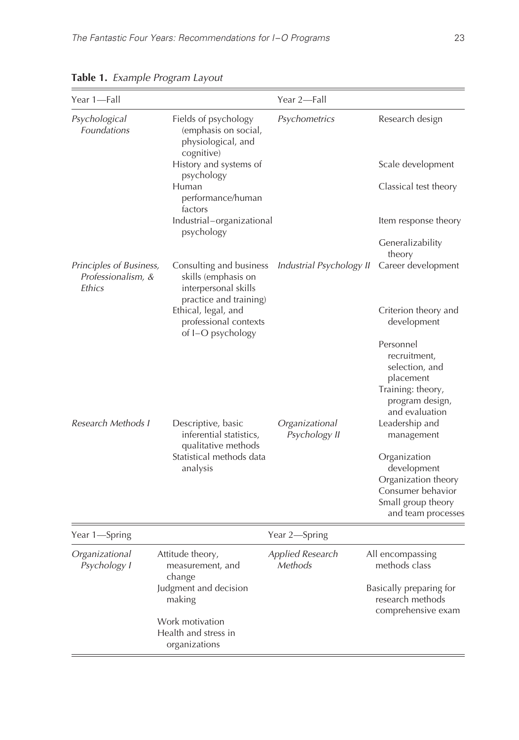| Year 1-Fall                                             |                                                                                                                                                                                                              | Year 2-Fall                        |                                                                                                                                                                                                                                                                           |
|---------------------------------------------------------|--------------------------------------------------------------------------------------------------------------------------------------------------------------------------------------------------------------|------------------------------------|---------------------------------------------------------------------------------------------------------------------------------------------------------------------------------------------------------------------------------------------------------------------------|
| Psychological<br><b>Foundations</b>                     | Fields of psychology<br>(emphasis on social,<br>physiological, and<br>cognitive)<br>History and systems of<br>psychology<br>Human<br>performance/human<br>factors<br>Industrial-organizational<br>psychology | Psychometrics                      | Research design<br>Scale development<br>Classical test theory<br>Item response theory<br>Generalizability                                                                                                                                                                 |
| Principles of Business,<br>Professionalism, &<br>Ethics | Consulting and business<br>skills (emphasis on<br>interpersonal skills<br>practice and training)<br>Ethical, legal, and<br>professional contexts<br>of I-O psychology                                        | Industrial Psychology II           | theory<br>Career development<br>Criterion theory and<br>development                                                                                                                                                                                                       |
| Research Methods I                                      | Descriptive, basic<br>inferential statistics,<br>qualitative methods<br>Statistical methods data<br>analysis                                                                                                 | Organizational<br>Psychology II    | Personnel<br>recruitment,<br>selection, and<br>placement<br>Training: theory,<br>program design,<br>and evaluation<br>Leadership and<br>management<br>Organization<br>development<br>Organization theory<br>Consumer behavior<br>Small group theory<br>and team processes |
| Year 1-Spring                                           | Year 2-Spring                                                                                                                                                                                                |                                    |                                                                                                                                                                                                                                                                           |
| Organizational<br>Psychology I                          | Attitude theory,<br>measurement, and<br>change<br>Judgment and decision<br>making<br>Work motivation<br>Health and stress in<br>organizations                                                                | <b>Applied Research</b><br>Methods | All encompassing<br>methods class<br>Basically preparing for<br>research methods<br>comprehensive exam                                                                                                                                                                    |

**Table 1.** Example Program Layout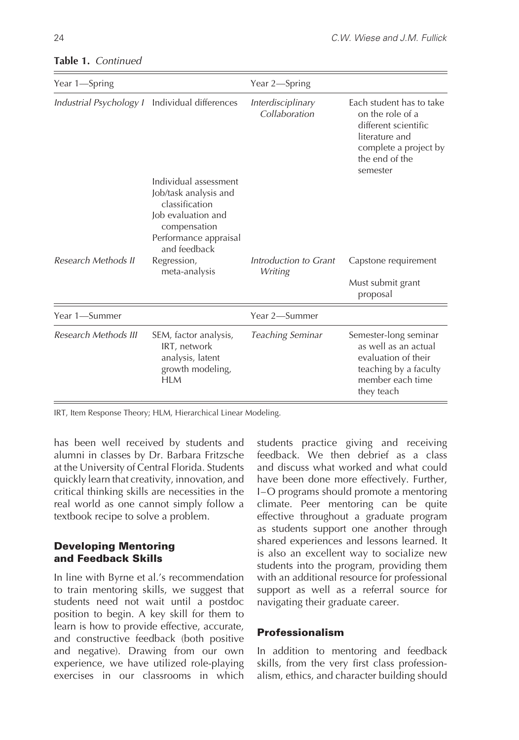| Year 1-Spring           |                                                                                                                                                                                 | Year 2—Spring                      |                                                                                                                                               |
|-------------------------|---------------------------------------------------------------------------------------------------------------------------------------------------------------------------------|------------------------------------|-----------------------------------------------------------------------------------------------------------------------------------------------|
| Industrial Psychology I | Individual differences                                                                                                                                                          | Interdisciplinary<br>Collaboration | Each student has to take<br>on the role of a<br>different scientific<br>literature and<br>complete a project by<br>the end of the<br>semester |
| Research Methods II     | Individual assessment<br>Job/task analysis and<br>classification<br>Job evaluation and<br>compensation<br>Performance appraisal<br>and feedback<br>Regression,<br>meta-analysis | Introduction to Grant<br>Writing   | Capstone requirement<br>Must submit grant                                                                                                     |
|                         |                                                                                                                                                                                 |                                    | proposal                                                                                                                                      |
| Year 1—Summer           |                                                                                                                                                                                 | Year 2-Summer                      |                                                                                                                                               |
| Research Methods III    | SEM, factor analysis,<br>IRT, network<br>analysis, latent<br>growth modeling,<br><b>HLM</b>                                                                                     | Teaching Seminar                   | Semester-long seminar<br>as well as an actual<br>evaluation of their<br>teaching by a faculty<br>member each time<br>they teach               |

#### **Table 1.** Continued

IRT, Item Response Theory; HLM, Hierarchical Linear Modeling.

has been well received by students and alumni in classes by Dr. Barbara Fritzsche at the University of Central Florida. Students quickly learn that creativity, innovation, and critical thinking skills are necessities in the real world as one cannot simply follow a textbook recipe to solve a problem.

#### **Developing Mentoring and Feedback Skills**

In line with Byrne et al.'s recommendation to train mentoring skills, we suggest that students need not wait until a postdoc position to begin. A key skill for them to learn is how to provide effective, accurate, and constructive feedback (both positive and negative). Drawing from our own experience, we have utilized role-playing exercises in our classrooms in which

students practice giving and receiving feedback. We then debrief as a class and discuss what worked and what could have been done more effectively. Further, I–O programs should promote a mentoring climate. Peer mentoring can be quite effective throughout a graduate program as students support one another through shared experiences and lessons learned. It is also an excellent way to socialize new students into the program, providing them with an additional resource for professional support as well as a referral source for navigating their graduate career.

#### **Professionalism**

In addition to mentoring and feedback skills, from the very first class professionalism, ethics, and character building should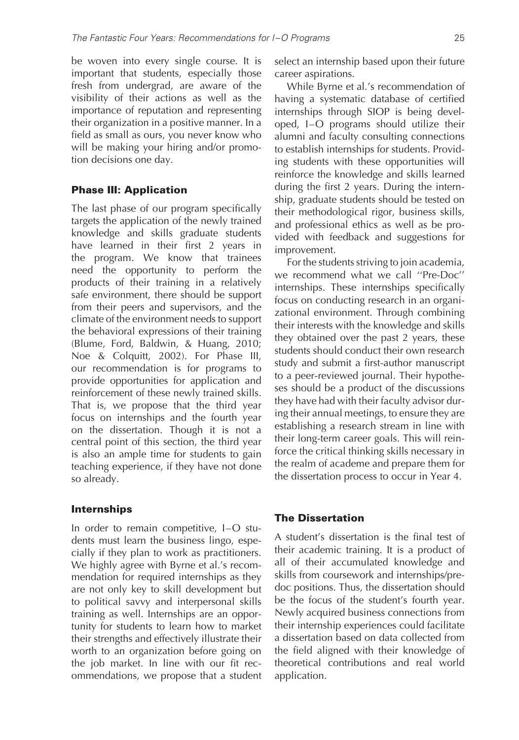be woven into every single course. It is important that students, especially those fresh from undergrad, are aware of the visibility of their actions as well as the importance of reputation and representing their organization in a positive manner. In a field as small as ours, you never know who will be making your hiring and/or promotion decisions one day.

#### **Phase III: Application**

The last phase of our program specifically targets the application of the newly trained knowledge and skills graduate students have learned in their first 2 years in the program. We know that trainees need the opportunity to perform the products of their training in a relatively safe environment, there should be support from their peers and supervisors, and the climate of the environment needs to support the behavioral expressions of their training (Blume, Ford, Baldwin, & Huang, 2010; Noe & Colquitt, 2002). For Phase III, our recommendation is for programs to provide opportunities for application and reinforcement of these newly trained skills. That is, we propose that the third year focus on internships and the fourth year on the dissertation. Though it is not a central point of this section, the third year is also an ample time for students to gain teaching experience, if they have not done so already.

#### **Internships**

In order to remain competitive, I–O students must learn the business lingo, especially if they plan to work as practitioners. We highly agree with Byrne et al.'s recommendation for required internships as they are not only key to skill development but to political savvy and interpersonal skills training as well. Internships are an opportunity for students to learn how to market their strengths and effectively illustrate their worth to an organization before going on the job market. In line with our fit recommendations, we propose that a student select an internship based upon their future career aspirations.

While Byrne et al.'s recommendation of having a systematic database of certified internships through SIOP is being developed, I–O programs should utilize their alumni and faculty consulting connections to establish internships for students. Providing students with these opportunities will reinforce the knowledge and skills learned during the first 2 years. During the internship, graduate students should be tested on their methodological rigor, business skills, and professional ethics as well as be provided with feedback and suggestions for improvement.

For the students striving to join academia, we recommend what we call ''Pre-Doc'' internships. These internships specifically focus on conducting research in an organizational environment. Through combining their interests with the knowledge and skills they obtained over the past 2 years, these students should conduct their own research study and submit a first-author manuscript to a peer-reviewed journal. Their hypotheses should be a product of the discussions they have had with their faculty advisor during their annual meetings, to ensure they are establishing a research stream in line with their long-term career goals. This will reinforce the critical thinking skills necessary in the realm of academe and prepare them for the dissertation process to occur in Year 4.

#### **The Dissertation**

A student's dissertation is the final test of their academic training. It is a product of all of their accumulated knowledge and skills from coursework and internships/predoc positions. Thus, the dissertation should be the focus of the student's fourth year. Newly acquired business connections from their internship experiences could facilitate a dissertation based on data collected from the field aligned with their knowledge of theoretical contributions and real world application.